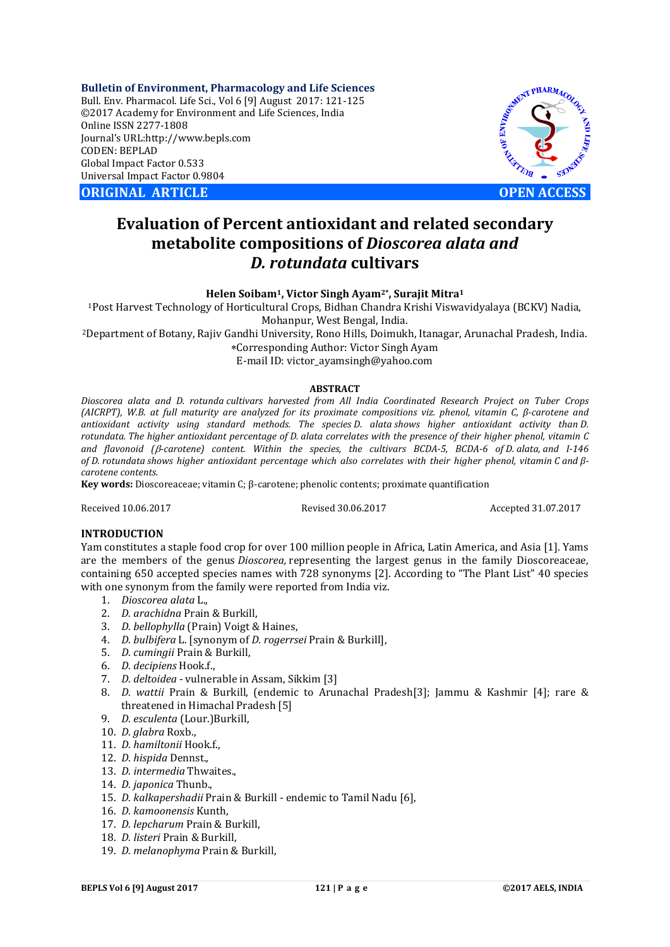**Bulletin of Environment, Pharmacology and Life Sciences** Bull. Env. Pharmacol. Life Sci., Vol 6 [9] August 2017: 121-125 ©2017 Academy for Environment and Life Sciences, India Online ISSN 2277-1808 Journal's URL:http://www.bepls.com CODEN: BEPLAD Global Impact Factor 0.533 Universal Impact Factor 0.9804

**ORIGINAL ARTICLE OPEN ACCESS**



# **Evaluation of Percent antioxidant and related secondary metabolite compositions of** *Dioscorea alata and D. rotundata* **cultivars**

**Helen Soibam1, Victor Singh Ayam2\*, Surajit Mitra1**

1Post Harvest Technology of Horticultural Crops, Bidhan Chandra Krishi Viswavidyalaya (BCKV) Nadia, Mohanpur, West Bengal, India.

2Department of Botany, Rajiv Gandhi University, Rono Hills, Doimukh, Itanagar, Arunachal Pradesh, India.

Corresponding Author: Victor Singh Ayam

E-mail ID: victor\_ayamsingh@yahoo.com

#### **ABSTRACT**

*Dioscorea alata and D. rotunda cultivars harvested from All India Coordinated Research Project on Tuber Crops (AICRPT), W.B. at full maturity are analyzed for its proximate compositions viz. phenol, vitamin C, β-carotene and antioxidant activity using standard methods. The species D. alata shows higher antioxidant activity than D. rotundata. The higher antioxidant percentage of D. alata correlates with the presence of their higher phenol, vitamin C and flavonoid (-carotene) content. Within the species, the cultivars BCDA-5, BCDA-6 of D. alata, and I-146 of D. rotundata shows higher antioxidant percentage which also correlates with their higher phenol, vitamin C and βcarotene contents.*

**Key words:** Dioscoreaceae; vitamin C; β-carotene; phenolic contents; proximate quantification

Received 10.06.2017 Revised 30.06.2017 Accepted 31.07.2017

### **INTRODUCTION**

Yam constitutes a staple food crop for over 100 million people in Africa, Latin America, and Asia [1]. Yams are the members of the genus *Dioscorea,* representing the largest genus in the family Dioscoreaceae, containing 650 accepted species names with 728 synonyms [2]. According to "The Plant List" 40 species with one synonym from the family were reported from India viz.

- 1. *Dioscorea alata* L.,
- 2. *D. arachidna* Prain & Burkill,
- 3. *D. bellophylla* (Prain) Voigt & Haines,
- 4. *D. bulbifera* L. [synonym of *D. rogerrsei* Prain & Burkill],
- 5. *D. cumingii* Prain & Burkill,
- 6. *D. decipiens* Hook.f.,
- 7. *D. deltoidea* vulnerable in Assam, Sikkim [3]
- 8. *D. wattii* Prain & Burkill, (endemic to Arunachal Pradesh[3]; Jammu & Kashmir [4]; rare & threatened in Himachal Pradesh [5]
- 9. *D. esculenta* (Lour.)Burkill,
- 10. *D. glabra* Roxb.,
- 11. *D. hamiltonii* Hook.f.,
- 12. *D. hispida* Dennst.,
- 13. *D. intermedia* Thwaites.,
- 14. *D. japonica* Thunb.,
- 15. *D. kalkapershadii* Prain & Burkill endemic to Tamil Nadu [6],
- 16. *D. kamoonensis* Kunth,
- 17. *D. lepcharum* Prain & Burkill,
- 18. *D. listeri* Prain & Burkill,
- 19. *D. melanophyma* Prain & Burkill,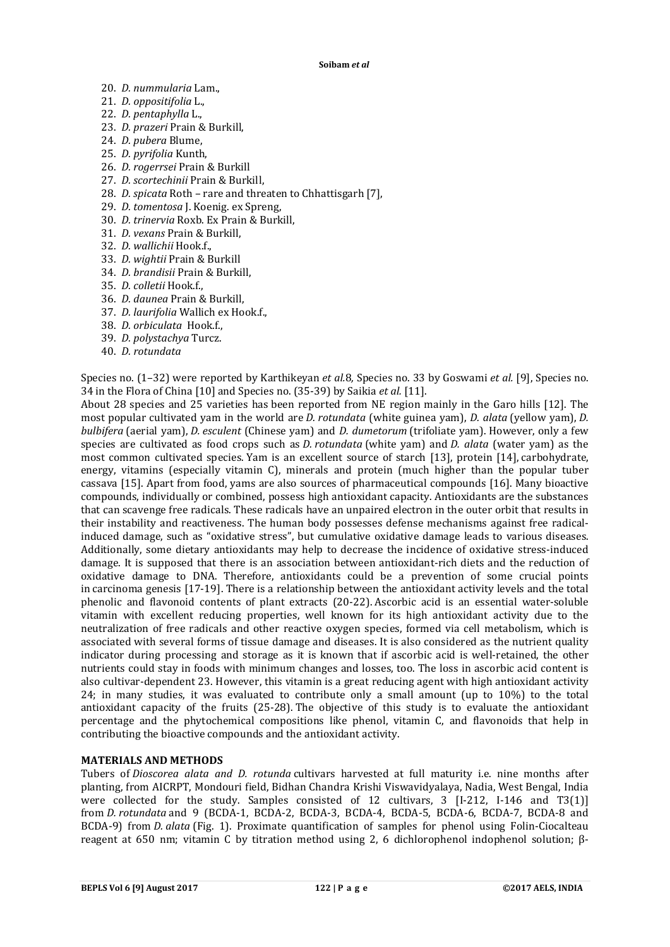- 20. *D. nummularia* Lam.,
- 21. *D. oppositifolia* L.,
- 22. *D. pentaphylla* L.,
- 23. *D. prazeri* Prain & Burkill,
- 24. *D. pubera* Blume,
- 25. *D. pyrifolia* Kunth,
- 26. *D. rogerrsei* Prain & Burkill
- 27. *D. scortechinii* Prain & Burkill,
- 28. *D. spicata* Roth rare and threaten to Chhattisgarh [7],
- 29. *D. tomentosa* J. Koenig. ex Spreng,
- 30. *D. trinervia* Roxb. Ex Prain & Burkill,
- 31. *D. vexans* Prain & Burkill,
- 32. *D. wallichii* Hook.f.,
- 33. *D. wightii* Prain & Burkill
- 34. *D. brandisii* Prain & Burkill,
- 35. *D. colletii* Hook.f.,
- 36. *D. daunea* Prain & Burkill,
- 37. *D. laurifolia* Wallich ex Hook.f.,
- 38. *D. orbiculata* Hook.f.,
- 39. *D. polystachya* Turcz.
- 40. *D. rotundata*

Species no. (1–32) were reported by Karthikeyan *et al.*8*,* Species no. 33 by Goswami *et al.* [9], Species no. 34 in the Flora of China [10] and Species no. (35-39) by Saikia *et al.* [11].

About 28 species and 25 varieties has been reported from NE region mainly in the Garo hills [12]. The most popular cultivated yam in the world are *D. rotundata* (white guinea yam), *D. alata* (yellow yam), *D. bulbifera* (aerial yam), *D. esculent* (Chinese yam) and *D. dumetorum* (trifoliate yam). However, only a few species are cultivated as food crops such as *D. rotundata* (white yam) and *D. alata* (water yam) as the most common cultivated species. Yam is an excellent source of starch [13], protein [14], carbohydrate, energy, vitamins (especially vitamin C), minerals and protein (much higher than the popular tuber cassava [15]. Apart from food, yams are also sources of pharmaceutical compounds [16]. Many bioactive compounds, individually or combined, possess high antioxidant capacity. Antioxidants are the substances that can scavenge free radicals. These radicals have an unpaired electron in the outer orbit that results in their instability and reactiveness. The human body possesses defense mechanisms against free radicalinduced damage, such as "oxidative stress", but cumulative oxidative damage leads to various diseases. Additionally, some dietary antioxidants may help to decrease the incidence of oxidative stress-induced damage. It is supposed that there is an association between antioxidant-rich diets and the reduction of oxidative damage to DNA. Therefore, antioxidants could be a prevention of some crucial points in carcinoma genesis [17-19]. There is a relationship between the antioxidant activity levels and the total phenolic and flavonoid contents of plant extracts (20-22). Ascorbic acid is an essential water-soluble vitamin with excellent reducing properties, well known for its high antioxidant activity due to the neutralization of free radicals and other reactive oxygen species, formed via cell metabolism, which is associated with several forms of tissue damage and diseases. It is also considered as the nutrient quality indicator during processing and storage as it is known that if ascorbic acid is well-retained, the other nutrients could stay in foods with minimum changes and losses, too. The loss in ascorbic acid content is also cultivar-dependent 23. However, this vitamin is a great reducing agent with high antioxidant activity 24; in many studies, it was evaluated to contribute only a small amount (up to 10%) to the total antioxidant capacity of the fruits (25-28). The objective of this study is to evaluate the antioxidant percentage and the phytochemical compositions like phenol, vitamin C, and flavonoids that help in contributing the bioactive compounds and the antioxidant activity.

### **MATERIALS AND METHODS**

Tubers of *Dioscorea alata and D. rotunda* cultivars harvested at full maturity i.e. nine months after planting, from AICRPT, Mondouri field, Bidhan Chandra Krishi Viswavidyalaya, Nadia, West Bengal, India were collected for the study. Samples consisted of 12 cultivars, 3 [I-212, I-146 and T3(1)] from *D. rotundata* and 9 (BCDA-1, BCDA-2, BCDA-3, BCDA-4, BCDA-5, BCDA-6, BCDA-7, BCDA-8 and BCDA-9) from *D. alata* (Fig. 1). Proximate quantification of samples for phenol using Folin-Ciocalteau reagent at 650 nm; vitamin C by titration method using 2, 6 dichlorophenol indophenol solution; β-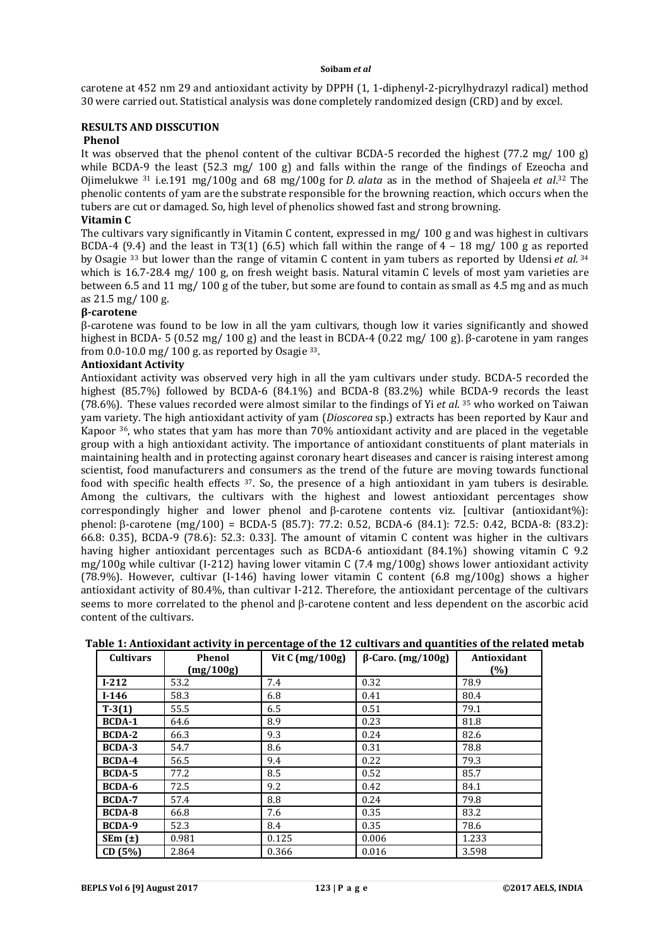#### **Soibam** *et al*

carotene at 452 nm 29 and antioxidant activity by DPPH (1, 1-diphenyl-2-picrylhydrazyl radical) method 30 were carried out. Statistical analysis was done completely randomized design (CRD) and by excel.

## **RESULTS AND DISSCUTION**

## **Phenol**

It was observed that the phenol content of the cultivar BCDA-5 recorded the highest (77.2 mg/ 100 g) while BCDA-9 the least (52.3 mg/ 100 g) and falls within the range of the findings of Ezeocha and Ojimelukwe 31 i.e.191 mg/100g and 68 mg/100g for *D. alata* as in the method of Shajeela *et al*. <sup>32</sup> The phenolic contents of yam are the substrate responsible for the browning reaction, which occurs when the tubers are cut or damaged. So, high level of phenolics showed fast and strong browning.

# **Vitamin C**

The cultivars vary significantly in Vitamin C content, expressed in mg/ 100 g and was highest in cultivars BCDA-4 (9.4) and the least in T3(1) (6.5) which fall within the range of  $4 - 18$  mg/ 100 g as reported by Osagie 33 but lower than the range of vitamin C content in yam tubers as reported by Udensi *et al.* <sup>34</sup> which is 16.7-28.4 mg/ 100 g, on fresh weight basis. Natural vitamin C levels of most yam varieties are between 6.5 and 11 mg/ 100 g of the tuber, but some are found to contain as small as 4.5 mg and as much as 21.5 mg/ 100 g.

#### **β-carotene**

β-carotene was found to be low in all the yam cultivars, though low it varies significantly and showed highest in BCDA- 5 (0.52 mg/ 100 g) and the least in BCDA-4 (0.22 mg/ 100 g). β-carotene in yam ranges from 0.0-10.0 mg/ 100 g. as reported by Osagie  $33$ .

# **Antioxidant Activity**

Antioxidant activity was observed very high in all the yam cultivars under study. BCDA-5 recorded the highest (85.7%) followed by BCDA-6 (84.1%) and BCDA-8 (83.2%) while BCDA-9 records the least (78.6%). These values recorded were almost similar to the findings of Yi *et al*. 35 who worked on Taiwan yam variety. The high antioxidant activity of yam (*Dioscorea* sp.) extracts has been reported by Kaur and Kapoor 36, who states that yam has more than 70% antioxidant activity and are placed in the vegetable group with a high antioxidant activity. The importance of antioxidant constituents of plant materials in maintaining health and in protecting against coronary heart diseases and cancer is raising interest among scientist, food manufacturers and consumers as the trend of the future are moving towards functional food with specific health effects 37. So, the presence of a high antioxidant in yam tubers is desirable. Among the cultivars, the cultivars with the highest and lowest antioxidant percentages show correspondingly higher and lower phenol and  $\beta$ -carotene contents viz. [cultivar (antioxidant%): phenol:  $\beta$ -carotene (mg/100) = BCDA-5 (85.7): 77.2: 0.52, BCDA-6 (84.1): 72.5: 0.42, BCDA-8: (83.2): 66.8: 0.35), BCDA-9 (78.6): 52.3: 0.33]. The amount of vitamin C content was higher in the cultivars having higher antioxidant percentages such as BCDA-6 antioxidant (84.1%) showing vitamin C 9.2 mg/100g while cultivar (I-212) having lower vitamin C (7.4 mg/100g) shows lower antioxidant activity (78.9%). However, cultivar (I-146) having lower vitamin C content (6.8 mg/100g) shows a higher antioxidant activity of 80.4%, than cultivar I-212. Therefore, the antioxidant percentage of the cultivars seems to more correlated to the phenol and  $\beta$ -carotene content and less dependent on the ascorbic acid content of the cultivars.

| <b>Cultivars</b> | Phenol    | Vit $C \left( \frac{mg}{100g} \right)$ | $\beta$ -Caro. (mg/100g) | Antioxidant |
|------------------|-----------|----------------------------------------|--------------------------|-------------|
|                  | (mg/100g) |                                        |                          | (%)         |
| $I-212$          | 53.2      | 7.4                                    | 0.32                     | 78.9        |
| $I-146$          | 58.3      | 6.8                                    | 0.41                     | 80.4        |
| $T-3(1)$         | 55.5      | 6.5                                    | 0.51                     | 79.1        |
| <b>BCDA-1</b>    | 64.6      | 8.9                                    | 0.23                     | 81.8        |
| <b>BCDA-2</b>    | 66.3      | 9.3                                    | 0.24                     | 82.6        |
| <b>BCDA-3</b>    | 54.7      | 8.6                                    | 0.31                     | 78.8        |
| <b>BCDA-4</b>    | 56.5      | 9.4                                    | 0.22                     | 79.3        |
| <b>BCDA-5</b>    | 77.2      | 8.5                                    | 0.52                     | 85.7        |
| BCDA-6           | 72.5      | 9.2                                    | 0.42                     | 84.1        |
| <b>BCDA-7</b>    | 57.4      | 8.8                                    | 0.24                     | 79.8        |
| <b>BCDA-8</b>    | 66.8      | 7.6                                    | 0.35                     | 83.2        |
| BCDA-9           | 52.3      | 8.4                                    | 0.35                     | 78.6        |
| SEm(t)           | 0.981     | 0.125                                  | 0.006                    | 1.233       |
| CD (5%)          | 2.864     | 0.366                                  | 0.016                    | 3.598       |

### **Table 1: Antioxidant activity in percentage of the 12 cultivars and quantities of the related metab**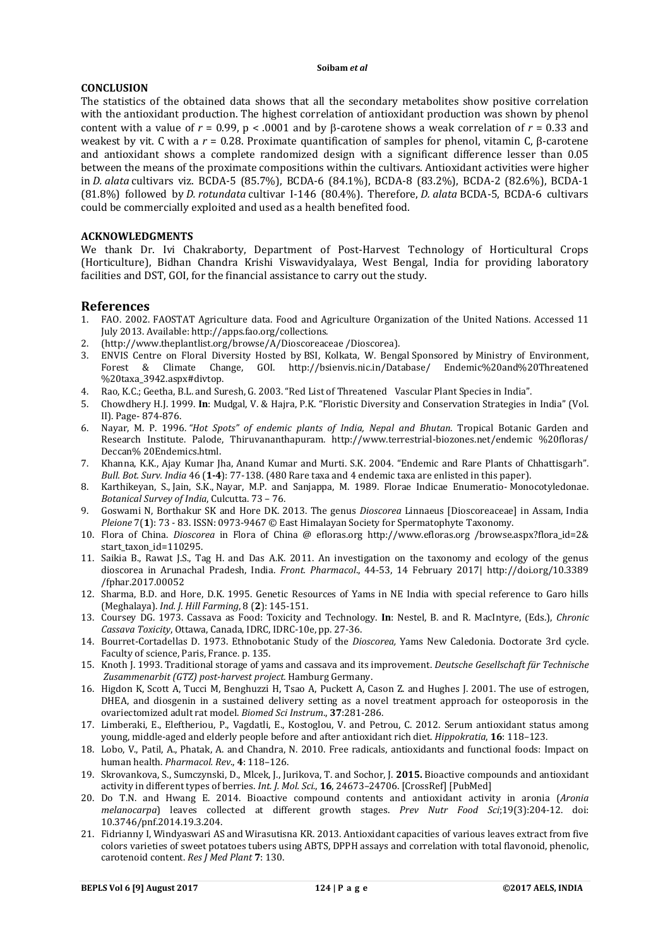#### **Soibam** *et al*

## **CONCLUSION**

The statistics of the obtained data shows that all the secondary metabolites show positive correlation with the antioxidant production. The highest correlation of antioxidant production was shown by phenol content with a value of  $r = 0.99$ ,  $p < .0001$  and by  $\beta$ -carotene shows a weak correlation of  $r = 0.33$  and weakest by vit. C with a *r* = 0.28. Proximate quantification of samples for phenol, vitamin C, β-carotene and antioxidant shows a complete randomized design with a significant difference lesser than 0.05 between the means of the proximate compositions within the cultivars. Antioxidant activities were higher in *D. alata* cultivars viz. BCDA-5 (85.7%), BCDA-6 (84.1%), BCDA-8 (83.2%), BCDA-2 (82.6%), BCDA-1 (81.8%) followed by *D. rotundata* cultivar I-146 (80.4%). Therefore, *D. alata* BCDA-5, BCDA-6 cultivars could be commercially exploited and used as a health benefited food.

## **ACKNOWLEDGMENTS**

We thank Dr. Ivi Chakraborty, Department of Post-Harvest Technology of Horticultural Crops (Horticulture), Bidhan Chandra Krishi Viswavidyalaya, West Bengal, India for providing laboratory facilities and DST, GOI, for the financial assistance to carry out the study.

# **References**

- 1. FAO. 2002. FAOSTAT Agriculture data. Food and Agriculture Organization of the United Nations. Accessed 11 July 2013. Available: http://apps.fao.org/collections.
- 2. (http://www.theplantlist.org/browse/A/Dioscoreaceae /Dioscorea).
- 3. ENVIS Centre on Floral Diversity Hosted by BSI, Kolkata, W. Bengal Sponsored by Ministry of Environment, Forest & Climate Change, GOI. http://bsienvis.nic.in/Database/ %20taxa\_3942.aspx#divtop.
- 4. Rao, K.C.; Geetha, B.L. and Suresh, G. 2003. "Red List of Threatened Vascular Plant Species in India".
- 5. Chowdhery H.J. 1999. **In**: Mudgal, V. & Hajra, P.K. "Floristic Diversity and Conservation Strategies in India" (Vol. II). Page- 874-876.
- 6. Nayar, M. P. 1996. *"Hot Spots" of endemic plants of India, Nepal and Bhutan*. Tropical Botanic Garden and Research Institute. Palode, Thiruvananthapuram. http://www.terrestrial-biozones.net/endemic %20floras/ Deccan% 20Endemics.html.
- 7. Khanna, K.K., Ajay Kumar Jha, Anand Kumar and Murti. S.K. 2004. "Endemic and Rare Plants of Chhattisgarh". *Bull. Bot. Surv. India* 46 (**1-4**): 77-138. (480 Rare taxa and 4 endemic taxa are enlisted in this paper).
- 8. Karthikeyan, S., Jain, S.K., Nayar, M.P. and Sanjappa, M. 1989. Florae Indicae Enumeratio- Monocotyledonae. *Botanical Survey of India*, Culcutta. 73 – 76.
- 9. Goswami N, Borthakur SK and Hore DK. 2013. The genus *Dioscorea* Linnaeus [Dioscoreaceae] in Assam, India *Pleione* 7(**1**): 73 - 83. ISSN: 0973-9467 © East Himalayan Society for Spermatophyte Taxonomy.
- 10. Flora of China. *Dioscorea* in Flora of China @ efloras.org http://www.efloras.org /browse.aspx?flora\_id=2& start taxon id=110295.
- 11. Saikia B., Rawat J.S., Tag H. and Das A.K. 2011. An investigation on the taxonomy and ecology of the genus dioscorea in Arunachal Pradesh, India. *Front. Pharmacol*., 44-53, 14 February 2017| http://doi.org/10.3389 /fphar.2017.00052
- 12. Sharma, B.D. and Hore, D.K. 1995. Genetic Resources of Yams in NE India with special reference to Garo hills (Meghalaya). *Ind. J. Hill Farming*, 8 (**2**): 145-151.
- 13. Coursey DG. 1973. Cassava as Food: Toxicity and Technology. **In**: Nestel, B. and R. MacIntyre, (Eds.), *Chronic Cassava Toxicity*, Ottawa, Canada, IDRC, IDRC-10e, pp. 27-36.
- 14. Bourret-Cortadellas D. 1973. Ethnobotanic Study of the *Dioscorea,* Yams New Caledonia. Doctorate 3rd cycle. Faculty of science, Paris, France. p. 135.
- 15. Knoth J. 1993. Traditional storage of yams and cassava and its improvement. *Deutsche Gesellschaft für Technische Zusammenarbit (GTZ) post-harvest project.* Hamburg Germany.
- 16. Higdon K, Scott A, Tucci M, Benghuzzi H, Tsao A, Puckett A, Cason Z. and Hughes J. 2001. The use of estrogen, DHEA, and diosgenin in a sustained delivery setting as a novel treatment approach for osteoporosis in the ovariectomized adult rat model. *Biomed Sci Instrum*., **37**:281-286.
- 17. Limberaki, E., Eleftheriou, P., Vagdatli, E., Kostoglou, V. and Petrou, C. 2012. Serum antioxidant status among young, middle-aged and elderly people before and after antioxidant rich diet. *Hippokratia*, **16**: 118–123.
- 18. Lobo, V., Patil, A., Phatak, A. and Chandra, N. 2010. Free radicals, antioxidants and functional foods: Impact on human health. *Pharmacol. Rev*., **4**: 118–126.
- 19. Skrovankova, S., Sumczynski, D., Mlcek, J., Jurikova, T. and Sochor, J. **2015.** Bioactive compounds and antioxidant activity in different types of berries. *Int. J. Mol. Sci.*, **16**, 24673–24706. [CrossRef] [PubMed]
- 20. Do T.N. and Hwang E. 2014. Bioactive compound contents and antioxidant activity in aronia (*Aronia melanocarpa*) leaves collected at different growth stages. *Prev Nutr Food Sci*;19(3):204-12. doi: 10.3746/pnf.2014.19.3.204.
- 21. Fidrianny I, Windyaswari AS and Wirasutisna KR. 2013. Antioxidant capacities of various leaves extract from five colors varieties of sweet potatoes tubers using ABTS, DPPH assays and correlation with total flavonoid, phenolic, carotenoid content. *Res J Med Plant* **7**: 130.